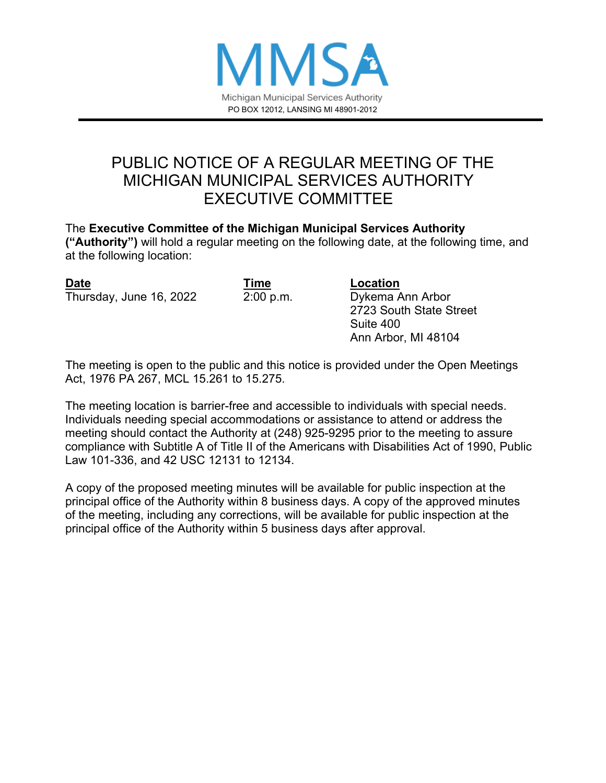

### PUBLIC NOTICE OF A REGULAR MEETING OF THE MICHIGAN MUNICIPAL SERVICES AUTHORITY EXECUTIVE COMMITTEE

The **Executive Committee of the Michigan Municipal Services Authority ("Authority")** will hold a regular meeting on the following date, at the following time, and at the following location:

**Date COLLECTER COLLECTER COLLECTER COLLECTER COLLECTER COLLECTER COLLECTER COLLECTER** Thursday, June 16, 2022 2:00 p.m. Dykema Ann Arbor

2723 South State Street Suite 400 Ann Arbor, MI 48104

The meeting is open to the public and this notice is provided under the Open Meetings Act, 1976 PA 267, MCL 15.261 to 15.275.

The meeting location is barrier-free and accessible to individuals with special needs. Individuals needing special accommodations or assistance to attend or address the meeting should contact the Authority at (248) 925-9295 prior to the meeting to assure compliance with Subtitle A of Title II of the Americans with Disabilities Act of 1990, Public Law 101-336, and 42 USC 12131 to 12134.

A copy of the proposed meeting minutes will be available for public inspection at the principal office of the Authority within 8 business days. A copy of the approved minutes of the meeting, including any corrections, will be available for public inspection at the principal office of the Authority within 5 business days after approval.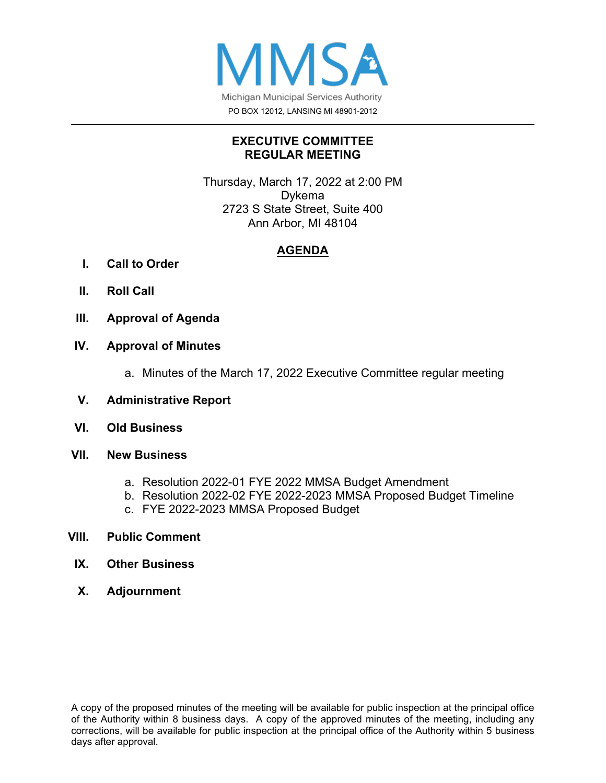

### **EXECUTIVE COMMITTEE REGULAR MEETING**

Thursday, March 17, 2022 at 2:00 PM Dykema 2723 S State Street, Suite 400 Ann Arbor, MI 48104

### **AGENDA**

- **I. Call to Order**
- **II. Roll Call**
- **III. Approval of Agenda**

### **IV. Approval of Minutes**

- a. Minutes of the March 17, 2022 Executive Committee regular meeting
- **V. Administrative Report**
- **VI. Old Business**
- **VII. New Business**
	- a. Resolution 2022-01 FYE 2022 MMSA Budget Amendment
	- b. Resolution 2022-02 FYE 2022-2023 MMSA Proposed Budget Timeline
	- c. FYE 2022-2023 MMSA Proposed Budget

### **VIII. Public Comment**

- **IX. Other Business**
- **X. Adjournment**

A copy of the proposed minutes of the meeting will be available for public inspection at the principal office of the Authority within 8 business days. A copy of the approved minutes of the meeting, including any corrections, will be available for public inspection at the principal office of the Authority within 5 business days after approval.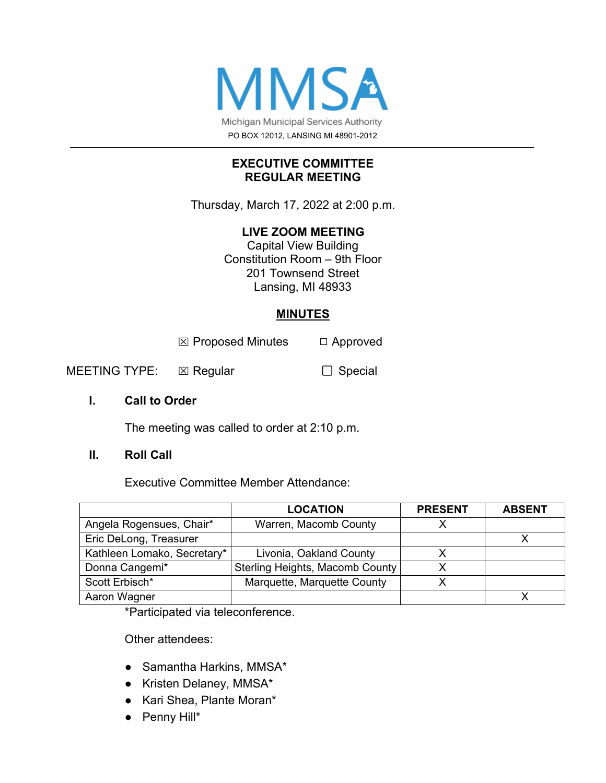

### **EXECUTIVE COMMITTEE REGULAR MEETING**

Thursday, March 17, 2022 at 2:00 p.m.

### **LIVE ZOOM MEETING**

Capital View Building Constitution Room – 9th Floor 201 Townsend Street Lansing, MI 48933

### **MINUTES**

 $\boxtimes$  Proposed Minutes  $\Box$  Approved

MEETING TYPE: ⊠ Regular □ □ Special

### **I. Call to Order**

The meeting was called to order at 2:10 p.m.

### **II. Roll Call**

Executive Committee Member Attendance:

|                             | <b>LOCATION</b>                 | <b>PRESENT</b> | <b>ABSENT</b> |
|-----------------------------|---------------------------------|----------------|---------------|
| Angela Rogensues, Chair*    | Warren, Macomb County           |                |               |
| Eric DeLong, Treasurer      |                                 |                |               |
| Kathleen Lomako, Secretary* | Livonia, Oakland County         |                |               |
| Donna Cangemi*              | Sterling Heights, Macomb County |                |               |
| Scott Erbisch*              | Marquette, Marquette County     |                |               |
| Aaron Wagner                |                                 |                |               |

\*Participated via teleconference.

Other attendees:

- Samantha Harkins, MMSA\*
- Kristen Delaney, MMSA\*
- Kari Shea, Plante Moran\*
- Penny Hill\*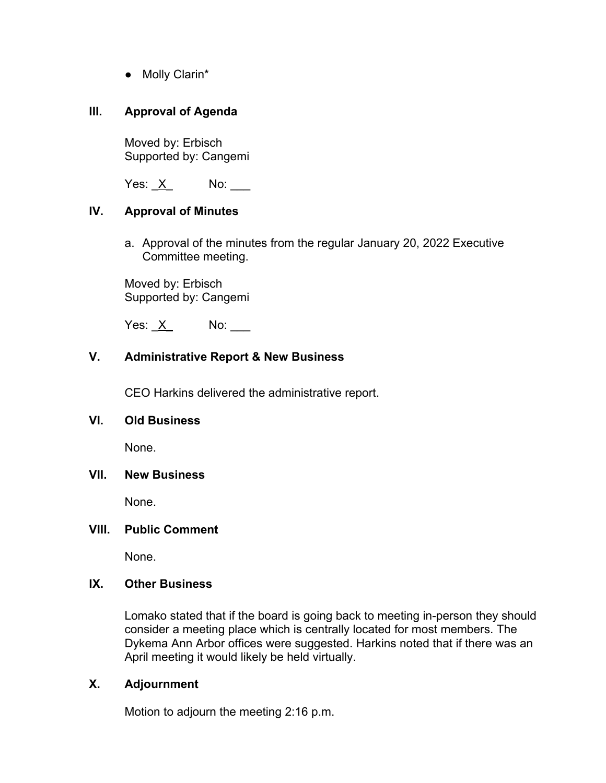● Molly Clarin\*

### **III. Approval of Agenda**

Moved by: Erbisch Supported by: Cangemi

Yes: \_X\_ No: \_\_\_

### **IV. Approval of Minutes**

a. Approval of the minutes from the regular January 20, 2022 Executive Committee meeting.

Moved by: Erbisch Supported by: Cangemi

Yes:  $X$  No: \_\_\_\_

### **V. Administrative Report & New Business**

CEO Harkins delivered the administrative report.

### **VI. Old Business**

None.

### **VII. New Business**

None.

### **VIII. Public Comment**

None.

### **IX. Other Business**

Lomako stated that if the board is going back to meeting in-person they should consider a meeting place which is centrally located for most members. The Dykema Ann Arbor offices were suggested. Harkins noted that if there was an April meeting it would likely be held virtually.

### **X. Adjournment**

Motion to adjourn the meeting 2:16 p.m.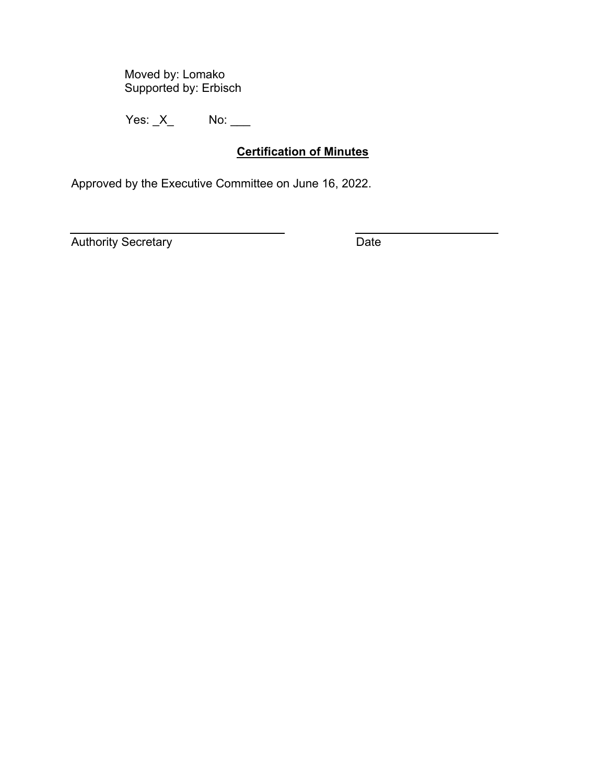Moved by: Lomako Supported by: Erbisch

Yes: <u>\_X</u>\_ No: \_\_\_

### **Certification of Minutes**

Approved by the Executive Committee on June 16, 2022.

Authority Secretary **Date**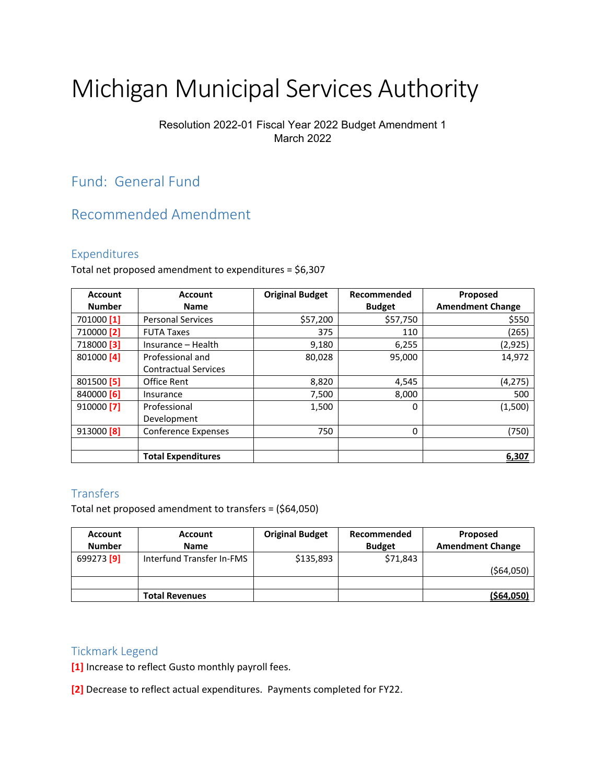# Michigan Municipal Services Authority

### Resolution 2022-01 Fiscal Year 2022 Budget Amendment 1 March 2022

### Fund: General Fund

### Recommended Amendment

### Expenditures

Total net proposed amendment to expenditures = \$6,307

| <b>Account</b>        | <b>Account</b>              | <b>Original Budget</b> | Recommended   | Proposed                |
|-----------------------|-----------------------------|------------------------|---------------|-------------------------|
| <b>Number</b>         | <b>Name</b>                 |                        | <b>Budget</b> | <b>Amendment Change</b> |
| 701000 [1]            | <b>Personal Services</b>    | \$57,200               | \$57,750      | \$550                   |
| 710000 <sup>[2]</sup> | <b>FUTA Taxes</b>           | 375                    | 110           | (265)                   |
| 718000 <sup>[3]</sup> | Insurance - Health          | 9,180                  | 6,255         | (2,925)                 |
| 801000 [4]            | Professional and            | 80,028                 | 95,000        | 14,972                  |
|                       | <b>Contractual Services</b> |                        |               |                         |
| 801500 [5]            | Office Rent                 | 8,820                  | 4,545         | (4,275)                 |
| 840000 [6]            | Insurance                   | 7,500                  | 8,000         | 500                     |
| 910000 <sup>[7]</sup> | Professional                | 1,500                  | $\Omega$      | (1,500)                 |
|                       | Development                 |                        |               |                         |
| 913000 <sup>[8]</sup> | <b>Conference Expenses</b>  | 750                    | $\Omega$      | (750)                   |
|                       |                             |                        |               |                         |
|                       | <b>Total Expenditures</b>   |                        |               | 6,307                   |

#### **Transfers**

Total net proposed amendment to transfers = (\$64,050)

| <b>Account</b>        | <b>Account</b>            | <b>Original Budget</b> | Recommended   | Proposed                |
|-----------------------|---------------------------|------------------------|---------------|-------------------------|
| <b>Number</b>         | <b>Name</b>               |                        | <b>Budget</b> | <b>Amendment Change</b> |
| 699273 <sup>[9]</sup> | Interfund Transfer In-FMS | \$135,893              | \$71,843      |                         |
|                       |                           |                        |               | ( \$64,050)             |
|                       |                           |                        |               |                         |
|                       | <b>Total Revenues</b>     |                        |               | (564, 050)              |

#### Tickmark Legend

**[1]** Increase to reflect Gusto monthly payroll fees.

**[2]** Decrease to reflect actual expenditures. Payments completed for FY22.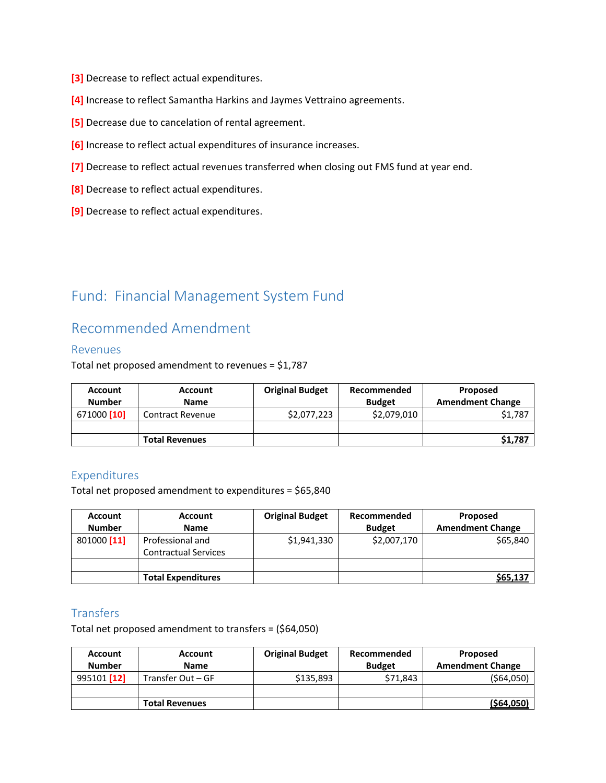- **[3]** Decrease to reflect actual expenditures.
- **[4]** Increase to reflect Samantha Harkins and Jaymes Vettraino agreements.
- **[5]** Decrease due to cancelation of rental agreement.
- **[6]** Increase to reflect actual expenditures of insurance increases.
- **[7]** Decrease to reflect actual revenues transferred when closing out FMS fund at year end.
- **[8]** Decrease to reflect actual expenditures.
- **[9]** Decrease to reflect actual expenditures.

### Fund: Financial Management System Fund

### Recommended Amendment

#### Revenues

Total net proposed amendment to revenues = \$1,787

| <b>Account</b>         | <b>Account</b>          | <b>Original Budget</b> | Recommended   | Proposed                |
|------------------------|-------------------------|------------------------|---------------|-------------------------|
| <b>Number</b>          | <b>Name</b>             |                        | <b>Budget</b> | <b>Amendment Change</b> |
| 671000 <sup>[10]</sup> | <b>Contract Revenue</b> | \$2,077,223            | \$2,079,010   | \$1,787                 |
|                        |                         |                        |               |                         |
|                        | <b>Total Revenues</b>   |                        |               | \$1,787                 |

### Expenditures

Total net proposed amendment to expenditures = \$65,840

| Account       | <b>Account</b>                                  | <b>Original Budget</b> | Recommended   | Proposed                |
|---------------|-------------------------------------------------|------------------------|---------------|-------------------------|
| <b>Number</b> | <b>Name</b>                                     |                        | <b>Budget</b> | <b>Amendment Change</b> |
| 801000 [11]   | Professional and<br><b>Contractual Services</b> | \$1,941,330            | \$2,007,170   | \$65,840                |
|               |                                                 |                        |               |                         |
|               | <b>Total Expenditures</b>                       |                        |               | \$65,137                |

### **Transfers**

Total net proposed amendment to transfers = (\$64,050)

| <b>Account</b><br><b>Number</b> | <b>Account</b><br><b>Name</b> | <b>Original Budget</b> | Recommended<br><b>Budget</b> | Proposed<br><b>Amendment Change</b> |
|---------------------------------|-------------------------------|------------------------|------------------------------|-------------------------------------|
| 995101 [12]                     | Transfer Out – GF             | \$135,893              | \$71,843                     | ( \$64,050)                         |
|                                 |                               |                        |                              |                                     |
|                                 | <b>Total Revenues</b>         |                        |                              | ( \$64, 050]                        |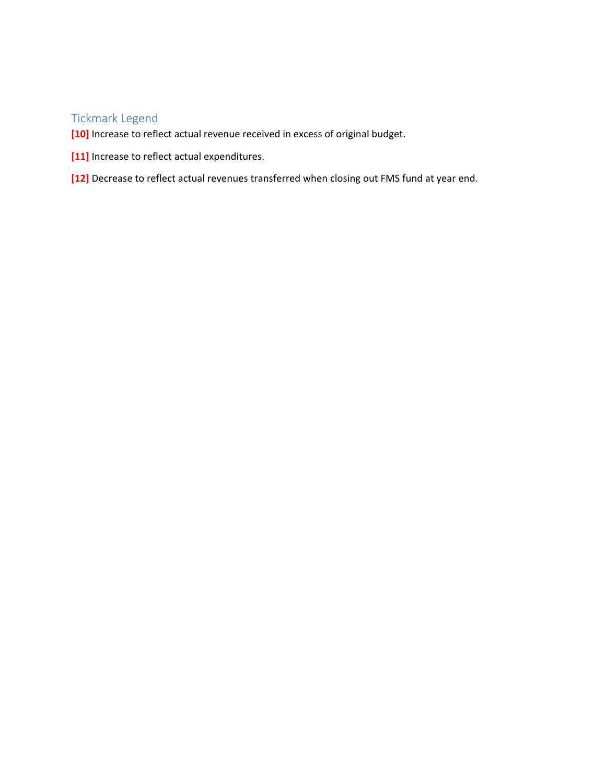### Tickmark Legend

- **[10]** Increase to reflect actual revenue received in excess of original budget.
- **[11]** Increase to reflect actual expenditures.
- **[12]** Decrease to reflect actual revenues transferred when closing out FMS fund at year end.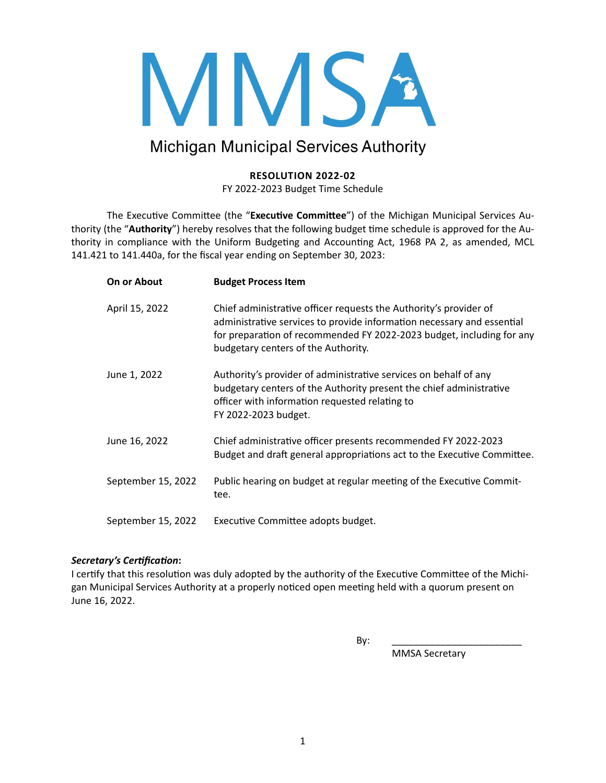

### **Michigan Municipal Services Authority**

### **RESOLUTION 2022-02**

FY 2022-2023 Budget Time Schedule

The Executive Committee (the "Executive Committee") of the Michigan Municipal Services Authority (the "Authority") hereby resolves that the following budget time schedule is approved for the Authority in compliance with the Uniform Budgeting and Accounting Act, 1968 PA 2, as amended, MCL 141.421 to 141.440a, for the fiscal year ending on September 30, 2023:

| On or About        | <b>Budget Process Item</b>                                                                                                                                                                                                                                  |
|--------------------|-------------------------------------------------------------------------------------------------------------------------------------------------------------------------------------------------------------------------------------------------------------|
| April 15, 2022     | Chief administrative officer requests the Authority's provider of<br>administrative services to provide information necessary and essential<br>for preparation of recommended FY 2022-2023 budget, including for any<br>budgetary centers of the Authority. |
| June 1, 2022       | Authority's provider of administrative services on behalf of any<br>budgetary centers of the Authority present the chief administrative<br>officer with information requested relating to<br>FY 2022-2023 budget.                                           |
| June 16, 2022      | Chief administrative officer presents recommended FY 2022-2023<br>Budget and draft general appropriations act to the Executive Committee.                                                                                                                   |
| September 15, 2022 | Public hearing on budget at regular meeting of the Executive Commit-<br>tee.                                                                                                                                                                                |
| September 15, 2022 | Executive Committee adopts budget.                                                                                                                                                                                                                          |

#### *Secretary's Certification***:**

I certify that this resolution was duly adopted by the authority of the Executive Committee of the Michigan Municipal Services Authority at a properly noticed open meeting held with a quorum present on June 16, 2022.

By: \_\_\_\_\_\_\_\_\_\_\_\_\_\_\_\_\_\_\_\_\_\_\_\_

MMSA Secretary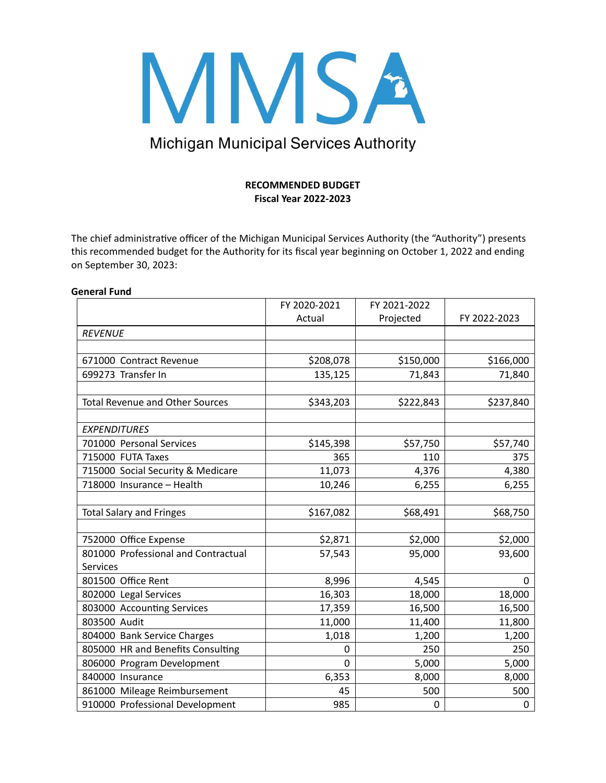

## Michigan Municipal Services Authority

#### **RECOMMENDED BUDGET Fiscal Year 2022-2023**

The chief administrative officer of the Michigan Municipal Services Authority (the "Authority") presents this recommended budget for the Authority for its fiscal year beginning on October 1, 2022 and ending on September 30, 2023:

#### **General Fund**

|                                        | FY 2020-2021 | FY 2021-2022 |              |
|----------------------------------------|--------------|--------------|--------------|
|                                        | Actual       | Projected    | FY 2022-2023 |
| <b>REVENUE</b>                         |              |              |              |
|                                        |              |              |              |
| 671000 Contract Revenue                | \$208,078    | \$150,000    | \$166,000    |
| 699273 Transfer In                     | 135,125      | 71,843       | 71,840       |
|                                        |              |              |              |
| <b>Total Revenue and Other Sources</b> | \$343,203    | \$222,843    | \$237,840    |
|                                        |              |              |              |
| <b>EXPENDITURES</b>                    |              |              |              |
| 701000 Personal Services               | \$145,398    | \$57,750     | \$57,740     |
| 715000 FUTA Taxes                      | 365          | 110          | 375          |
| 715000 Social Security & Medicare      | 11,073       | 4,376        | 4,380        |
| 718000 Insurance - Health              | 10,246       | 6,255        | 6,255        |
|                                        |              |              |              |
| <b>Total Salary and Fringes</b>        | \$167,082    | \$68,491     | \$68,750     |
|                                        |              |              |              |
| 752000 Office Expense                  | \$2,871      | \$2,000      | \$2,000      |
| 801000 Professional and Contractual    | 57,543       | 95,000       | 93,600       |
| <b>Services</b>                        |              |              |              |
| 801500 Office Rent                     | 8,996        | 4,545        | $\Omega$     |
| 802000 Legal Services                  | 16,303       | 18,000       | 18,000       |
| 803000 Accounting Services             | 17,359       | 16,500       | 16,500       |
| 803500 Audit                           | 11,000       | 11,400       | 11,800       |
| 804000 Bank Service Charges            | 1,018        | 1,200        | 1,200        |
| 805000 HR and Benefits Consulting      | 0            | 250          | 250          |
| 806000 Program Development             | 0            | 5,000        | 5,000        |
| 840000 Insurance                       | 6,353        | 8,000        | 8,000        |
| 861000 Mileage Reimbursement           | 45           | 500          | 500          |
| 910000 Professional Development        | 985          | 0            | 0            |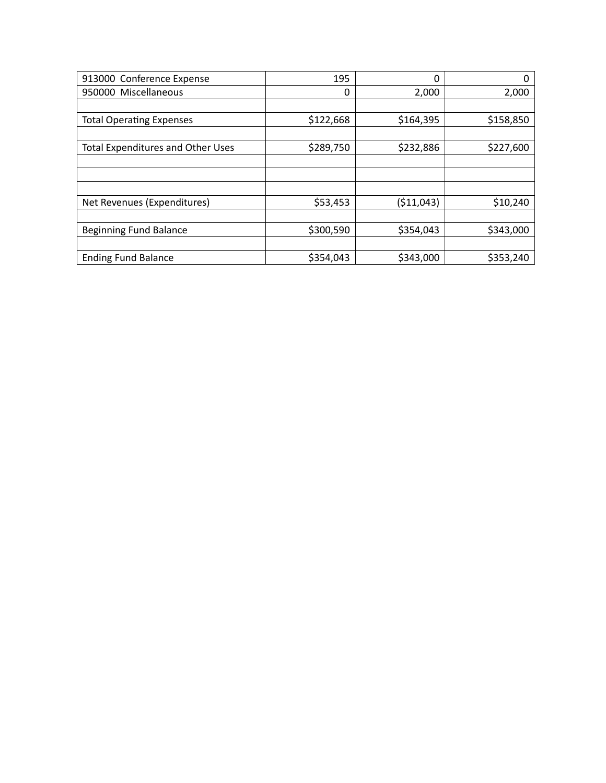| 913000 Conference Expense                | 195       | 0          | 0         |
|------------------------------------------|-----------|------------|-----------|
| 950000 Miscellaneous                     | 0         | 2,000      | 2,000     |
|                                          |           |            |           |
| <b>Total Operating Expenses</b>          | \$122,668 | \$164,395  | \$158,850 |
|                                          |           |            |           |
| <b>Total Expenditures and Other Uses</b> | \$289,750 | \$232,886  | \$227,600 |
|                                          |           |            |           |
|                                          |           |            |           |
|                                          |           |            |           |
| Net Revenues (Expenditures)              | \$53,453  | (\$11,043) | \$10,240  |
|                                          |           |            |           |
| <b>Beginning Fund Balance</b>            | \$300,590 | \$354,043  | \$343,000 |
|                                          |           |            |           |
| <b>Ending Fund Balance</b>               | \$354,043 | \$343,000  | \$353,240 |